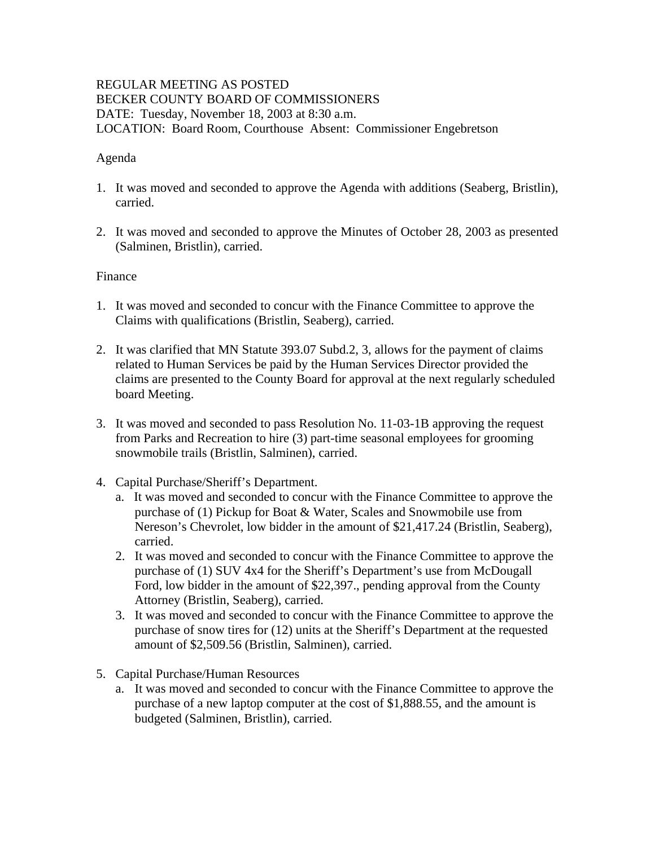## REGULAR MEETING AS POSTED BECKER COUNTY BOARD OF COMMISSIONERS DATE: Tuesday, November 18, 2003 at 8:30 a.m. LOCATION: Board Room, Courthouse Absent: Commissioner Engebretson

## Agenda

- 1. It was moved and seconded to approve the Agenda with additions (Seaberg, Bristlin), carried.
- 2. It was moved and seconded to approve the Minutes of October 28, 2003 as presented (Salminen, Bristlin), carried.

### Finance

- 1. It was moved and seconded to concur with the Finance Committee to approve the Claims with qualifications (Bristlin, Seaberg), carried.
- 2. It was clarified that MN Statute 393.07 Subd.2, 3, allows for the payment of claims related to Human Services be paid by the Human Services Director provided the claims are presented to the County Board for approval at the next regularly scheduled board Meeting.
- 3. It was moved and seconded to pass Resolution No. 11-03-1B approving the request from Parks and Recreation to hire (3) part-time seasonal employees for grooming snowmobile trails (Bristlin, Salminen), carried.
- 4. Capital Purchase/Sheriff's Department.
	- a. It was moved and seconded to concur with the Finance Committee to approve the purchase of (1) Pickup for Boat & Water, Scales and Snowmobile use from Nereson's Chevrolet, low bidder in the amount of \$21,417.24 (Bristlin, Seaberg), carried.
	- 2. It was moved and seconded to concur with the Finance Committee to approve the purchase of (1) SUV 4x4 for the Sheriff's Department's use from McDougall Ford, low bidder in the amount of \$22,397., pending approval from the County Attorney (Bristlin, Seaberg), carried.
	- 3. It was moved and seconded to concur with the Finance Committee to approve the purchase of snow tires for (12) units at the Sheriff's Department at the requested amount of \$2,509.56 (Bristlin, Salminen), carried.
- 5. Capital Purchase/Human Resources
	- a. It was moved and seconded to concur with the Finance Committee to approve the purchase of a new laptop computer at the cost of \$1,888.55, and the amount is budgeted (Salminen, Bristlin), carried.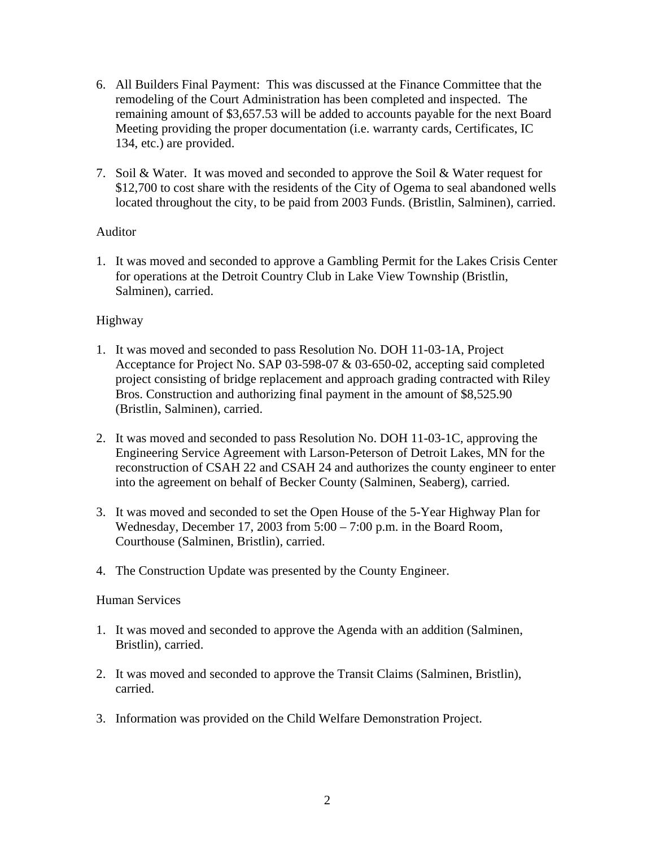- 6. All Builders Final Payment: This was discussed at the Finance Committee that the remodeling of the Court Administration has been completed and inspected. The remaining amount of \$3,657.53 will be added to accounts payable for the next Board Meeting providing the proper documentation (i.e. warranty cards, Certificates, IC 134, etc.) are provided.
- 7. Soil & Water. It was moved and seconded to approve the Soil & Water request for \$12,700 to cost share with the residents of the City of Ogema to seal abandoned wells located throughout the city, to be paid from 2003 Funds. (Bristlin, Salminen), carried.

## Auditor

1. It was moved and seconded to approve a Gambling Permit for the Lakes Crisis Center for operations at the Detroit Country Club in Lake View Township (Bristlin, Salminen), carried.

## Highway

- 1. It was moved and seconded to pass Resolution No. DOH 11-03-1A, Project Acceptance for Project No. SAP 03-598-07 & 03-650-02, accepting said completed project consisting of bridge replacement and approach grading contracted with Riley Bros. Construction and authorizing final payment in the amount of \$8,525.90 (Bristlin, Salminen), carried.
- 2. It was moved and seconded to pass Resolution No. DOH 11-03-1C, approving the Engineering Service Agreement with Larson-Peterson of Detroit Lakes, MN for the reconstruction of CSAH 22 and CSAH 24 and authorizes the county engineer to enter into the agreement on behalf of Becker County (Salminen, Seaberg), carried.
- 3. It was moved and seconded to set the Open House of the 5-Year Highway Plan for Wednesday, December 17, 2003 from 5:00 – 7:00 p.m. in the Board Room, Courthouse (Salminen, Bristlin), carried.
- 4. The Construction Update was presented by the County Engineer.

### Human Services

- 1. It was moved and seconded to approve the Agenda with an addition (Salminen, Bristlin), carried.
- 2. It was moved and seconded to approve the Transit Claims (Salminen, Bristlin), carried.
- 3. Information was provided on the Child Welfare Demonstration Project.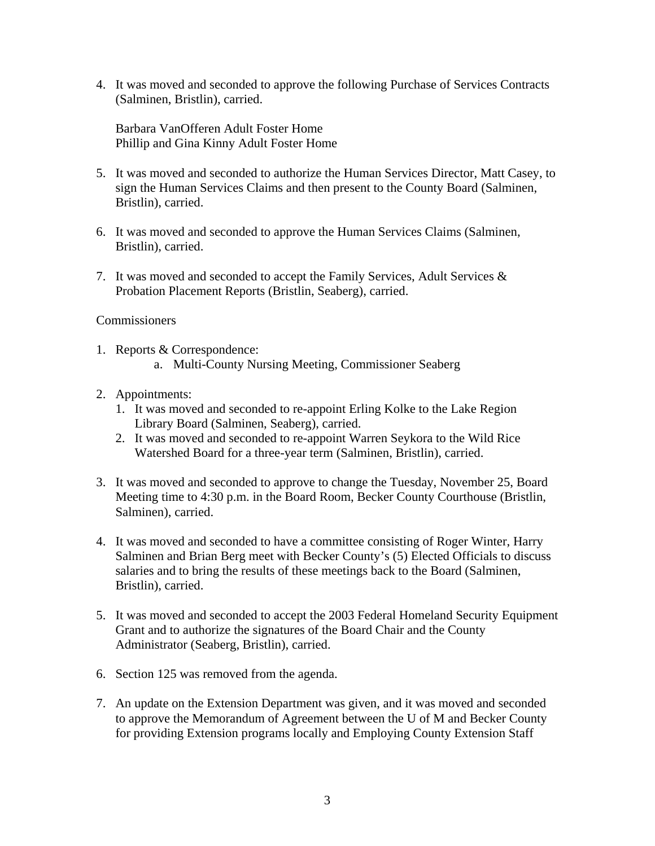4. It was moved and seconded to approve the following Purchase of Services Contracts (Salminen, Bristlin), carried.

Barbara VanOfferen Adult Foster Home Phillip and Gina Kinny Adult Foster Home

- 5. It was moved and seconded to authorize the Human Services Director, Matt Casey, to sign the Human Services Claims and then present to the County Board (Salminen, Bristlin), carried.
- 6. It was moved and seconded to approve the Human Services Claims (Salminen, Bristlin), carried.
- 7. It was moved and seconded to accept the Family Services, Adult Services & Probation Placement Reports (Bristlin, Seaberg), carried.

### **Commissioners**

- 1. Reports & Correspondence: a. Multi-County Nursing Meeting, Commissioner Seaberg
- 2. Appointments:
	- 1. It was moved and seconded to re-appoint Erling Kolke to the Lake Region Library Board (Salminen, Seaberg), carried.
	- 2. It was moved and seconded to re-appoint Warren Seykora to the Wild Rice Watershed Board for a three-year term (Salminen, Bristlin), carried.
- 3. It was moved and seconded to approve to change the Tuesday, November 25, Board Meeting time to 4:30 p.m. in the Board Room, Becker County Courthouse (Bristlin, Salminen), carried.
- 4. It was moved and seconded to have a committee consisting of Roger Winter, Harry Salminen and Brian Berg meet with Becker County's (5) Elected Officials to discuss salaries and to bring the results of these meetings back to the Board (Salminen, Bristlin), carried.
- 5. It was moved and seconded to accept the 2003 Federal Homeland Security Equipment Grant and to authorize the signatures of the Board Chair and the County Administrator (Seaberg, Bristlin), carried.
- 6. Section 125 was removed from the agenda.
- 7. An update on the Extension Department was given, and it was moved and seconded to approve the Memorandum of Agreement between the U of M and Becker County for providing Extension programs locally and Employing County Extension Staff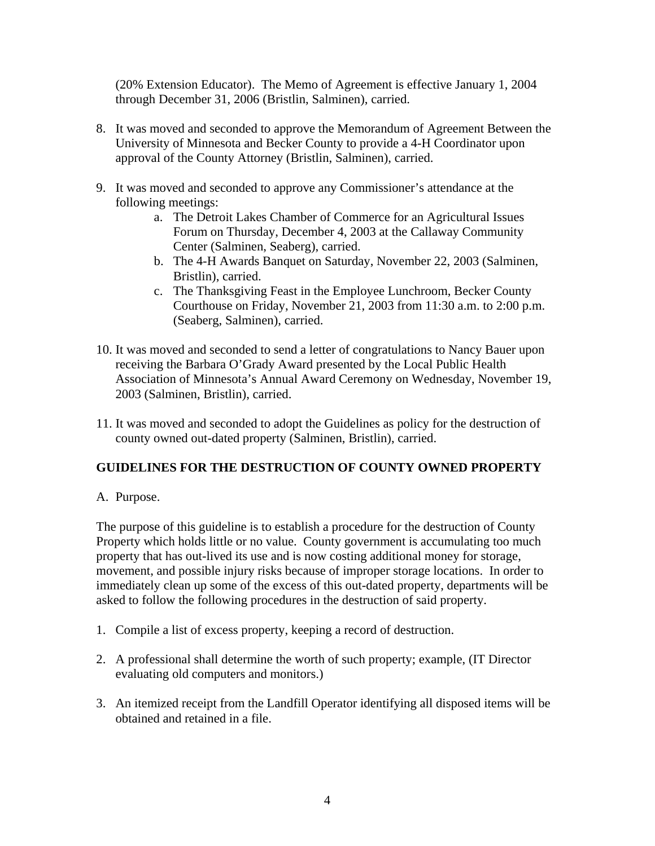(20% Extension Educator). The Memo of Agreement is effective January 1, 2004 through December 31, 2006 (Bristlin, Salminen), carried.

- 8. It was moved and seconded to approve the Memorandum of Agreement Between the University of Minnesota and Becker County to provide a 4-H Coordinator upon approval of the County Attorney (Bristlin, Salminen), carried.
- 9. It was moved and seconded to approve any Commissioner's attendance at the following meetings:
	- a. The Detroit Lakes Chamber of Commerce for an Agricultural Issues Forum on Thursday, December 4, 2003 at the Callaway Community Center (Salminen, Seaberg), carried.
	- b. The 4-H Awards Banquet on Saturday, November 22, 2003 (Salminen, Bristlin), carried.
	- c. The Thanksgiving Feast in the Employee Lunchroom, Becker County Courthouse on Friday, November 21, 2003 from 11:30 a.m. to 2:00 p.m. (Seaberg, Salminen), carried.
- 10. It was moved and seconded to send a letter of congratulations to Nancy Bauer upon receiving the Barbara O'Grady Award presented by the Local Public Health Association of Minnesota's Annual Award Ceremony on Wednesday, November 19, 2003 (Salminen, Bristlin), carried.
- 11. It was moved and seconded to adopt the Guidelines as policy for the destruction of county owned out-dated property (Salminen, Bristlin), carried.

# **GUIDELINES FOR THE DESTRUCTION OF COUNTY OWNED PROPERTY**

A. Purpose.

The purpose of this guideline is to establish a procedure for the destruction of County Property which holds little or no value. County government is accumulating too much property that has out-lived its use and is now costing additional money for storage, movement, and possible injury risks because of improper storage locations. In order to immediately clean up some of the excess of this out-dated property, departments will be asked to follow the following procedures in the destruction of said property.

- 1. Compile a list of excess property, keeping a record of destruction.
- 2. A professional shall determine the worth of such property; example, (IT Director evaluating old computers and monitors.)
- 3. An itemized receipt from the Landfill Operator identifying all disposed items will be obtained and retained in a file.